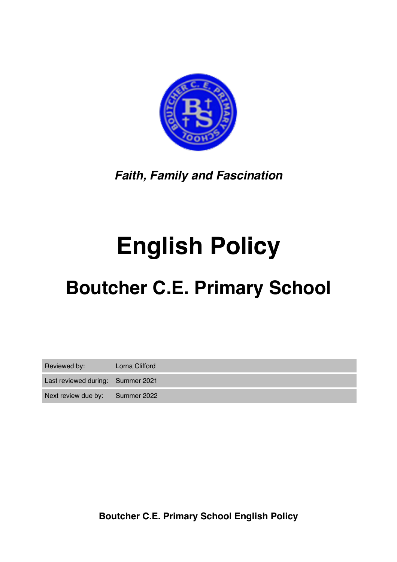

*Faith, Family and Fascination*

# **English Policy**

## **Boutcher C.E. Primary School**

| Reviewed by:                      | Lorna Clifford |
|-----------------------------------|----------------|
| Last reviewed during: Summer 2021 |                |
| Next review due by: Summer 2022   |                |

**Boutcher C.E. Primary School English Policy**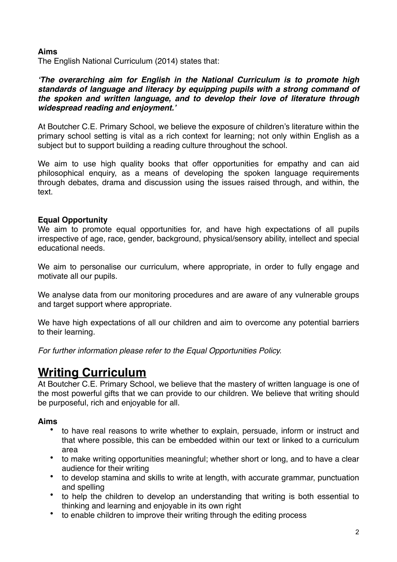#### **Aims**

The English National Curriculum (2014) states that:

#### *'The overarching aim for English in the National Curriculum is to promote high standards of language and literacy by equipping pupils with a strong command of the spoken and written language, and to develop their love of literature through widespread reading and enjoyment.'*

At Boutcher C.E. Primary School, we believe the exposure of children's literature within the primary school setting is vital as a rich context for learning; not only within English as a subject but to support building a reading culture throughout the school.

We aim to use high quality books that offer opportunities for empathy and can aid philosophical enquiry, as a means of developing the spoken language requirements through debates, drama and discussion using the issues raised through, and within, the text.

#### **Equal Opportunity**

We aim to promote equal opportunities for, and have high expectations of all pupils irrespective of age, race, gender, background, physical/sensory ability, intellect and special educational needs.

We aim to personalise our curriculum, where appropriate, in order to fully engage and motivate all our pupils.

We analyse data from our monitoring procedures and are aware of any vulnerable groups and target support where appropriate.

We have high expectations of all our children and aim to overcome any potential barriers to their learning.

*For further information please refer to the Equal Opportunities Policy.* 

## **Writing Curriculum**

At Boutcher C.E. Primary School, we believe that the mastery of written language is one of the most powerful gifts that we can provide to our children. We believe that writing should be purposeful, rich and enjoyable for all.

#### **Aims**

- to have real reasons to write whether to explain, persuade, inform or instruct and that where possible, this can be embedded within our text or linked to a curriculum area
- to make writing opportunities meaningful; whether short or long, and to have a clear audience for their writing
- to develop stamina and skills to write at length, with accurate grammar, punctuation and spelling
- to help the children to develop an understanding that writing is both essential to thinking and learning and enjoyable in its own right
- to enable children to improve their writing through the editing process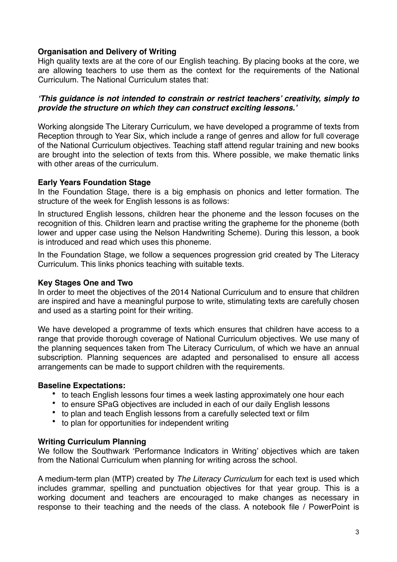#### **Organisation and Delivery of Writing**

High quality texts are at the core of our English teaching. By placing books at the core, we are allowing teachers to use them as the context for the requirements of the National Curriculum. The National Curriculum states that:

#### *'This guidance is not intended to constrain or restrict teachers' creativity, simply to provide the structure on which they can construct exciting lessons.'*

Working alongside The Literary Curriculum, we have developed a programme of texts from Reception through to Year Six, which include a range of genres and allow for full coverage of the National Curriculum objectives. Teaching staff attend regular training and new books are brought into the selection of texts from this. Where possible, we make thematic links with other areas of the curriculum.

#### **Early Years Foundation Stage**

In the Foundation Stage, there is a big emphasis on phonics and letter formation. The structure of the week for English lessons is as follows:

In structured English lessons, children hear the phoneme and the lesson focuses on the recognition of this. Children learn and practise writing the grapheme for the phoneme (both lower and upper case using the Nelson Handwriting Scheme). During this lesson, a book is introduced and read which uses this phoneme.

In the Foundation Stage, we follow a sequences progression grid created by The Literacy Curriculum. This links phonics teaching with suitable texts.

#### **Key Stages One and Two**

In order to meet the objectives of the 2014 National Curriculum and to ensure that children are inspired and have a meaningful purpose to write, stimulating texts are carefully chosen and used as a starting point for their writing.

We have developed a programme of texts which ensures that children have access to a range that provide thorough coverage of National Curriculum objectives. We use many of the planning sequences taken from The Literacy Curriculum, of which we have an annual subscription. Planning sequences are adapted and personalised to ensure all access arrangements can be made to support children with the requirements.

#### **Baseline Expectations:**

- to teach English lessons four times a week lasting approximately one hour each
- to ensure SPaG objectives are included in each of our daily English lessons
- to plan and teach English lessons from a carefully selected text or film
- to plan for opportunities for independent writing

#### **Writing Curriculum Planning**

We follow the Southwark 'Performance Indicators in Writing' objectives which are taken from the National Curriculum when planning for writing across the school.

A medium-term plan (MTP) created by *The Literacy Curriculum* for each text is used which includes grammar, spelling and punctuation objectives for that year group. This is a working document and teachers are encouraged to make changes as necessary in response to their teaching and the needs of the class. A notebook file / PowerPoint is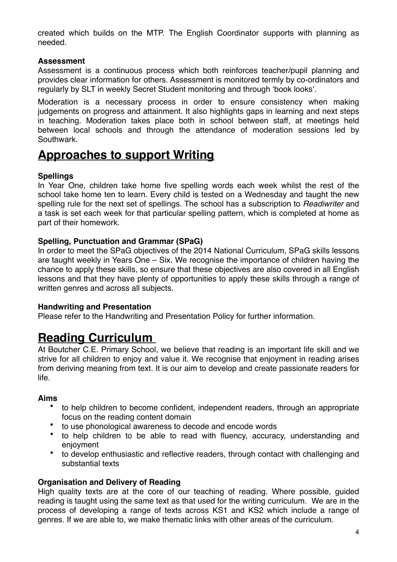created which builds on the MTP. The English Coordinator supports with planning as needed.

#### **Assessment**

Assessment is a continuous process which both reinforces teacher/pupil planning and provides clear information for others. Assessment is monitored termly by co-ordinators and regularly by SLT in weekly Secret Student monitoring and through 'book looks'.

Moderation is a necessary process in order to ensure consistency when making judgements on progress and attainment. It also highlights gaps in learning and next steps in teaching. Moderation takes place both in school between staff, at meetings held between local schools and through the attendance of moderation sessions led by Southwark.

### **Approaches to support Writing**

#### **Spellings**

In Year One, children take home five spelling words each week whilst the rest of the school take home ten to learn. Every child is tested on a Wednesday and taught the new spelling rule for the next set of spellings. The school has a subscription to *Readiwriter* and a task is set each week for that particular spelling pattern, which is completed at home as part of their homework.

#### **Spelling, Punctuation and Grammar (SPaG)**

In order to meet the SPaG objectives of the 2014 National Curriculum, SPaG skills lessons are taught weekly in Years One – Six. We recognise the importance of children having the chance to apply these skills, so ensure that these objectives are also covered in all English lessons and that they have plenty of opportunities to apply these skills through a range of written genres and across all subjects.

#### **Handwriting and Presentation**

Please refer to the Handwriting and Presentation Policy for further information.

## **Reading Curriculum**

At Boutcher C.E. Primary School, we believe that reading is an important life skill and we strive for all children to enjoy and value it. We recognise that enjoyment in reading arises from deriving meaning from text. It is our aim to develop and create passionate readers for life.

#### **Aims**

- to help children to become confident, independent readers, through an appropriate focus on the reading content domain
- to use phonological awareness to decode and encode words
- to help children to be able to read with fluency, accuracy, understanding and enjoyment
- to develop enthusiastic and reflective readers, through contact with challenging and substantial texts

#### **Organisation and Delivery of Reading**

High quality texts are at the core of our teaching of reading. Where possible, guided reading is taught using the same text as that used for the writing curriculum. We are in the process of developing a range of texts across KS1 and KS2 which include a range of genres. If we are able to, we make thematic links with other areas of the curriculum.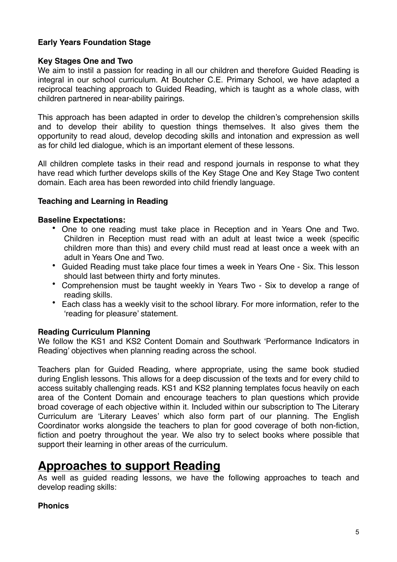#### **Early Years Foundation Stage**

#### **Key Stages One and Two**

We aim to instil a passion for reading in all our children and therefore Guided Reading is integral in our school curriculum. At Boutcher C.E. Primary School, we have adapted a reciprocal teaching approach to Guided Reading, which is taught as a whole class, with children partnered in near-ability pairings.

This approach has been adapted in order to develop the children's comprehension skills and to develop their ability to question things themselves. It also gives them the opportunity to read aloud, develop decoding skills and intonation and expression as well as for child led dialogue, which is an important element of these lessons.

All children complete tasks in their read and respond journals in response to what they have read which further develops skills of the Key Stage One and Key Stage Two content domain. Each area has been reworded into child friendly language.

#### **Teaching and Learning in Reading**

#### **Baseline Expectations:**

- One to one reading must take place in Reception and in Years One and Two. Children in Reception must read with an adult at least twice a week (specific children more than this) and every child must read at least once a week with an adult in Years One and Two.
- Guided Reading must take place four times a week in Years One Six. This lesson should last between thirty and forty minutes.
- Comprehension must be taught weekly in Years Two Six to develop a range of reading skills.
- Each class has a weekly visit to the school library. For more information, refer to the 'reading for pleasure' statement.

#### **Reading Curriculum Planning**

We follow the KS1 and KS2 Content Domain and Southwark 'Performance Indicators in Reading' objectives when planning reading across the school.

Teachers plan for Guided Reading, where appropriate, using the same book studied during English lessons. This allows for a deep discussion of the texts and for every child to access suitably challenging reads. KS1 and KS2 planning templates focus heavily on each area of the Content Domain and encourage teachers to plan questions which provide broad coverage of each objective within it. Included within our subscription to The Literary Curriculum are 'Literary Leaves' which also form part of our planning. The English Coordinator works alongside the teachers to plan for good coverage of both non-fiction, fiction and poetry throughout the year. We also try to select books where possible that support their learning in other areas of the curriculum.

## **Approaches to support Reading**

As well as guided reading lessons, we have the following approaches to teach and develop reading skills:

#### **Phonics**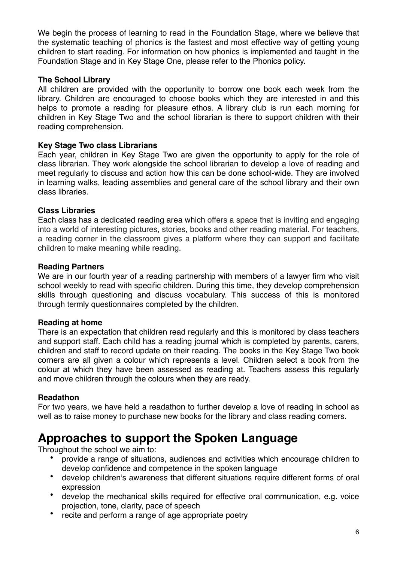We begin the process of learning to read in the Foundation Stage, where we believe that the systematic teaching of phonics is the fastest and most effective way of getting young children to start reading. For information on how phonics is implemented and taught in the Foundation Stage and in Key Stage One, please refer to the Phonics policy.

#### **The School Library**

All children are provided with the opportunity to borrow one book each week from the library. Children are encouraged to choose books which they are interested in and this helps to promote a reading for pleasure ethos. A library club is run each morning for children in Key Stage Two and the school librarian is there to support children with their reading comprehension.

#### **Key Stage Two class Librarians**

Each year, children in Key Stage Two are given the opportunity to apply for the role of class librarian. They work alongside the school librarian to develop a love of reading and meet regularly to discuss and action how this can be done school-wide. They are involved in learning walks, leading assemblies and general care of the school library and their own class libraries.

#### **Class Libraries**

Each class has a dedicated reading area which offers a space that is inviting and engaging into a world of interesting pictures, stories, books and other reading material. For teachers, a reading corner in the classroom gives a platform where they can support and facilitate children to make meaning while reading.

#### **Reading Partners**

We are in our fourth year of a reading partnership with members of a lawyer firm who visit school weekly to read with specific children. During this time, they develop comprehension skills through questioning and discuss vocabulary. This success of this is monitored through termly questionnaires completed by the children.

#### **Reading at home**

There is an expectation that children read regularly and this is monitored by class teachers and support staff. Each child has a reading journal which is completed by parents, carers, children and staff to record update on their reading. The books in the Key Stage Two book corners are all given a colour which represents a level. Children select a book from the colour at which they have been assessed as reading at. Teachers assess this regularly and move children through the colours when they are ready.

#### **Readathon**

For two years, we have held a readathon to further develop a love of reading in school as well as to raise money to purchase new books for the library and class reading corners.

## **Approaches to support the Spoken Language**

Throughout the school we aim to:

- provide a range of situations, audiences and activities which encourage children to develop confidence and competence in the spoken language
- develop children's awareness that different situations require different forms of oral expression
- develop the mechanical skills required for effective oral communication, e.g. voice projection, tone, clarity, pace of speech
- recite and perform a range of age appropriate poetry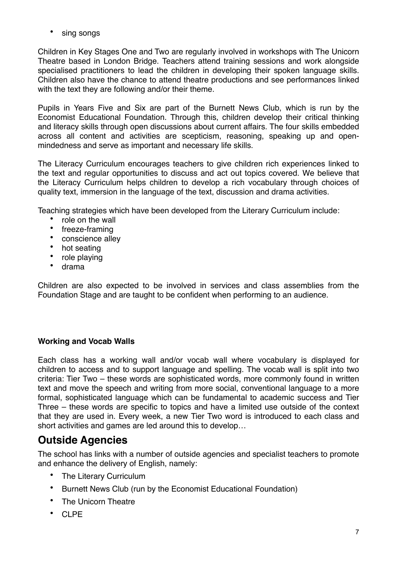sing songs

Children in Key Stages One and Two are regularly involved in workshops with The Unicorn Theatre based in London Bridge. Teachers attend training sessions and work alongside specialised practitioners to lead the children in developing their spoken language skills. Children also have the chance to attend theatre productions and see performances linked with the text they are following and/or their theme.

Pupils in Years Five and Six are part of the Burnett News Club, which is run by the Economist Educational Foundation. Through this, children develop their critical thinking and literacy skills through open discussions about current affairs. The four skills embedded across all content and activities are scepticism, reasoning, speaking up and openmindedness and serve as important and necessary life skills.

The Literacy Curriculum encourages teachers to give children rich experiences linked to the text and regular opportunities to discuss and act out topics covered. We believe that the Literacy Curriculum helps children to develop a rich vocabulary through choices of quality text, immersion in the language of the text, discussion and drama activities.

Teaching strategies which have been developed from the Literary Curriculum include:

- role on the wall
- freeze-framing<br>• conscience alle
- conscience alley<br>• hot seating
- hot seating<br>• role playing
- role playing
- drama

Children are also expected to be involved in services and class assemblies from the Foundation Stage and are taught to be confident when performing to an audience.

#### **Working and Vocab Walls**

Each class has a working wall and/or vocab wall where vocabulary is displayed for children to access and to support language and spelling. The vocab wall is split into two criteria: Tier Two – these words are sophisticated words, more commonly found in written text and move the speech and writing from more social, conventional language to a more formal, sophisticated language which can be fundamental to academic success and Tier Three – these words are specific to topics and have a limited use outside of the context that they are used in. Every week, a new Tier Two word is introduced to each class and short activities and games are led around this to develop…

## **Outside Agencies**

The school has links with a number of outside agencies and specialist teachers to promote and enhance the delivery of English, namely:

- The Literary Curriculum
- Burnett News Club (run by the Economist Educational Foundation)
- The Unicorn Theatre
- CLPE